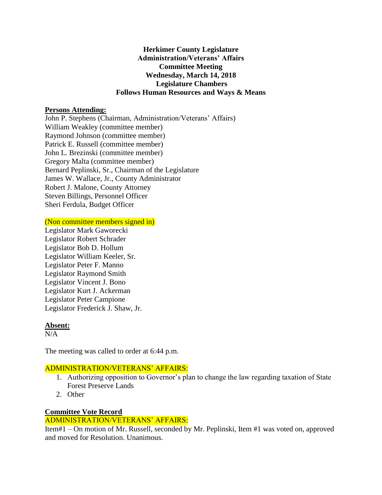### **Herkimer County Legislature Administration/Veterans' Affairs Committee Meeting Wednesday, March 14, 2018 Legislature Chambers Follows Human Resources and Ways & Means**

### **Persons Attending:**

John P. Stephens (Chairman, Administration/Veterans' Affairs) William Weakley (committee member) Raymond Johnson (committee member) Patrick E. Russell (committee member) John L. Brezinski (committee member) Gregory Malta (committee member) Bernard Peplinski, Sr., Chairman of the Legislature James W. Wallace, Jr., County Administrator Robert J. Malone, County Attorney Steven Billings, Personnel Officer Sheri Ferdula, Budget Officer

(Non committee members signed in)

Legislator Mark Gaworecki Legislator Robert Schrader Legislator Bob D. Hollum Legislator William Keeler, Sr. Legislator Peter F. Manno Legislator Raymond Smith Legislator Vincent J. Bono Legislator Kurt J. Ackerman Legislator Peter Campione Legislator Frederick J. Shaw, Jr.

### **Absent:**

 $N/A$ 

The meeting was called to order at 6:44 p.m.

### ADMINISTRATION/VETERANS' AFFAIRS:

- 1. Authorizing opposition to Governor's plan to change the law regarding taxation of State Forest Preserve Lands
- 2. Other

# **Committee Vote Record**

# ADMINISTRATION/VETERANS' AFFAIRS:

Item#1 – On motion of Mr. Russell, seconded by Mr. Peplinski, Item #1 was voted on, approved and moved for Resolution. Unanimous.